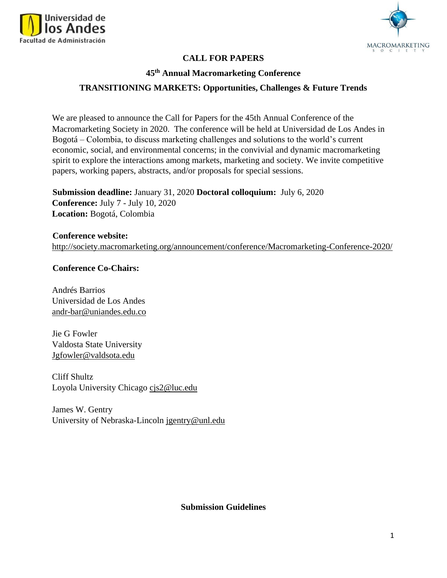



# **CALL FOR PAPERS**

#### **45th Annual Macromarketing Conference**

#### **TRANSITIONING MARKETS: Opportunities, Challenges & Future Trends**

We are pleased to announce the Call for Papers for the 45th Annual Conference of the Macromarketing Society in 2020. The conference will be held at Universidad de Los Andes in Bogotá – Colombia, to discuss marketing challenges and solutions to the world's current economic, social, and environmental concerns; in the convivial and dynamic macromarketing spirit to explore the interactions among markets, marketing and society. We invite competitive papers, working papers, abstracts, and/or proposals for special sessions.

**Submission deadline:** January 31, 2020 **Doctoral colloquium:** July 6, 2020 **Conference:** July 7 - July 10, 2020 **Location:** Bogotá, Colombia

**Conference website:**  <http://society.macromarketing.org/announcement/conference/Macromarketing-Conference-2020/>

#### **Conference Co-Chairs:**

Andrés Barrios Universidad de Los Andes andr-bar@uniandes.edu.co

Jie G Fowler Valdosta State University Jgfowler@valdsota.edu

Cliff Shultz Loyola University Chicago cjs2@luc.edu

James W. Gentry University of Nebraska-Lincoln jgentry@unl.edu

#### **Submission Guidelines**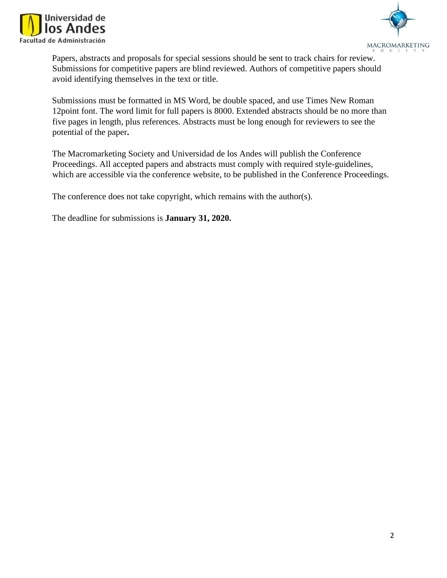



Papers, abstracts and proposals for special sessions should be sent to track chairs for review. Submissions for competitive papers are blind reviewed. Authors of competitive papers should avoid identifying themselves in the text or title.

Submissions must be formatted in MS Word, be double spaced, and use Times New Roman 12point font. The word limit for full papers is 8000. Extended abstracts should be no more than five pages in length, plus references. Abstracts must be long enough for reviewers to see the potential of the paper**.** 

The Macromarketing Society and Universidad de los Andes will publish the Conference Proceedings. All accepted papers and abstracts must comply with required style-guidelines, which are accessible via the conference website, to be published in the Conference Proceedings.

The conference does not take copyright, which remains with the author(s).

The deadline for submissions is **January 31, 2020.**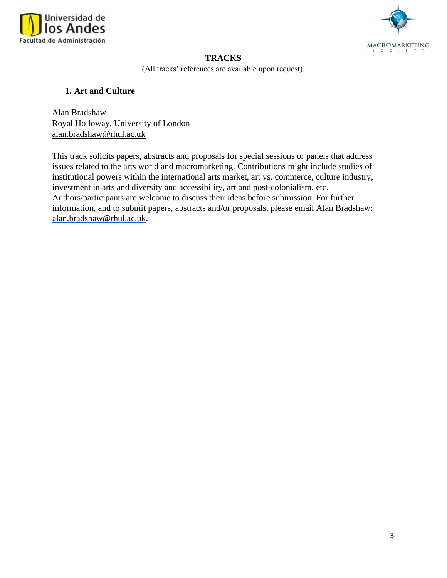



# **TRACKS**

(All tracks' references are available upon request).

### **1. Art and Culture**

Alan Bradsha[w](https://www.royalholloway.ac.uk/) [Royal Holloway, University of London](https://www.royalholloway.ac.uk/)  alan.bradshaw@rhul.ac.uk

This track solicits papers, abstracts and proposals for special sessions or panels that address issues related to the arts world and macromarketing. Contributions might include studies of institutional powers within the international arts market, art vs. commerce, culture industry, investment in arts and diversity and accessibility, art and post-colonialism, etc. Authors/participants are welcome to discuss their ideas before submission. For further information, and to submit papers, abstracts and/or proposals, please email Alan Bradshaw: alan.bradshaw@rhul.ac.uk.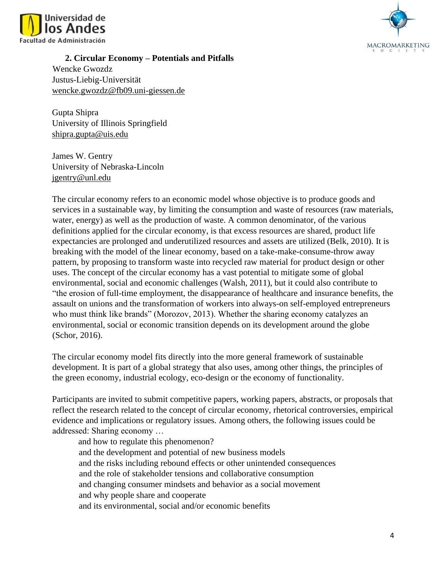



**2. Circular Economy – Potentials and Pitfalls**  Wencke Gwozdz Justus-Liebig-Universität wencke.gwozdz@fb09.uni-giessen.de

Gupta Shipra University of Illinois Springfield shipra.gupta@uis.edu

James W. Gentry University of Nebraska-Lincoln jgentry@unl.edu

The circular economy refers to an economic model whose objective is to produce goods and services in a sustainable way, by limiting the consumption and waste of resources (raw materials, water, energy) as well as the production of waste. A common denominator, of the various definitions applied for the circular economy, is that excess resources are shared, product life expectancies are prolonged and underutilized resources and assets are utilized (Belk, 2010). It is breaking with the model of the linear economy, based on a take-make-consume-throw away pattern, by proposing to transform waste into recycled raw material for product design or other uses. The concept of the circular economy has a vast potential to mitigate some of global environmental, social and economic challenges (Walsh, 2011), but it could also contribute to "the erosion of full-time employment, the disappearance of healthcare and insurance benefits, the assault on unions and the transformation of workers into always-on self-employed entrepreneurs who must think like brands" (Morozov, 2013). Whether the sharing economy catalyzes an environmental, social or economic transition depends on its development around the globe (Schor, 2016).

The circular economy model fits directly into the more general framework of sustainable development. It is part of a global strategy that also uses, among other things, the principles of the green economy, industrial ecology, eco-design or the economy of functionality.

Participants are invited to submit competitive papers, working papers, abstracts, or proposals that reflect the research related to the concept of circular economy, rhetorical controversies, empirical evidence and implications or regulatory issues. Among others, the following issues could be addressed: Sharing economy …

and how to regulate this phenomenon? and the development and potential of new business models and the risks including rebound effects or other unintended consequences and the role of stakeholder tensions and collaborative consumption and changing consumer mindsets and behavior as a social movement and why people share and cooperate and its environmental, social and/or economic benefits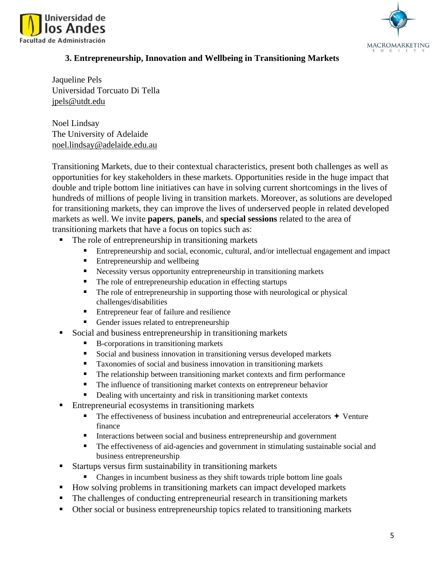



## **3. Entrepreneurship, Innovation and Wellbeing in Transitioning Markets**

Jaqueline Pels Universidad Torcuato Di Tella jpels@utdt.edu

Noel Lindsay The University of Adelaide noel.lindsay@adelaide.edu.au

Transitioning Markets, due to their contextual characteristics, present both challenges as well as opportunities for key stakeholders in these markets. Opportunities reside in the huge impact that double and triple bottom line initiatives can have in solving current shortcomings in the lives of hundreds of millions of people living in transition markets. Moreover, as solutions are developed for transitioning markets, they can improve the lives of underserved people in related developed markets as well. We invite **papers**, **panels**, and **special sessions** related to the area of transitioning markets that have a focus on topics such as:

- The role of entrepreneurship in transitioning markets
	- Entrepreneurship and social, economic, cultural, and/or intellectual engagement and impact
	- Entrepreneurship and wellbeing
	- Necessity versus opportunity entrepreneurship in transitioning markets
	- The role of entrepreneurship education in effecting startups
	- The role of entrepreneurship in supporting those with neurological or physical challenges/disabilities
	- Entrepreneur fear of failure and resilience
	- Gender issues related to entrepreneurship
- Social and business entrepreneurship in transitioning markets
	- B-corporations in transitioning markets
	- Social and business innovation in transitioning versus developed markets
	- Taxonomies of social and business innovation in transitioning markets
	- The relationship between transitioning market contexts and firm performance
	- The influence of transitioning market contexts on entrepreneur behavior
	- Dealing with uncertainty and risk in transitioning market contexts
- Entrepreneurial ecosystems in transitioning markets
	- $\blacksquare$  The effectiveness of business incubation and entrepreneurial accelerators  $\blacklozenge$  Venture finance
	- **Interactions between social and business entrepreneurship and government**
	- **•** The effectiveness of aid-agencies and government in stimulating sustainable social and business entrepreneurship
- Startups versus firm sustainability in transitioning markets
	- Changes in incumbent business as they shift towards triple bottom line goals
- How solving problems in transitioning markets can impact developed markets
- The challenges of conducting entrepreneurial research in transitioning markets
- Other social or business entrepreneurship topics related to transitioning markets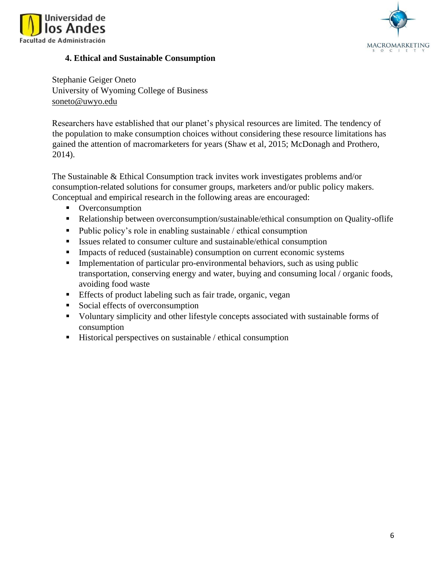



# **4. Ethical and Sustainable Consumption**

Stephanie Geiger Oneto University of Wyoming College of Business soneto@uwyo.edu

Researchers have established that our planet's physical resources are limited. The tendency of the population to make consumption choices without considering these resource limitations has gained the attention of macromarketers for years (Shaw et al, 2015; McDonagh and Prothero, 2014).

The Sustainable & Ethical Consumption track invites work investigates problems and/or consumption-related solutions for consumer groups, marketers and/or public policy makers. Conceptual and empirical research in the following areas are encouraged:

- Overconsumption
- Relationship between overconsumption/sustainable/ethical consumption on Quality-oflife
- Public policy's role in enabling sustainable / ethical consumption
- Issues related to consumer culture and sustainable/ethical consumption
- **IMPACTER 1.1** Impacts of reduced (sustainable) consumption on current economic systems
- **•** Implementation of particular pro-environmental behaviors, such as using public transportation, conserving energy and water, buying and consuming local / organic foods, avoiding food waste
- **Effects of product labeling such as fair trade, organic, vegan**
- Social effects of overconsumption
- Voluntary simplicity and other lifestyle concepts associated with sustainable forms of consumption
- Historical perspectives on sustainable / ethical consumption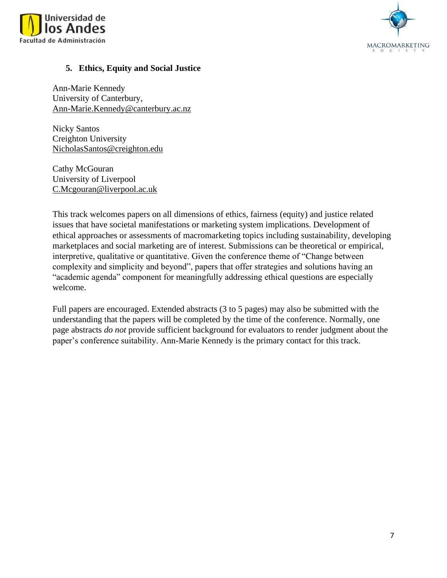



### **5. Ethics, Equity and Social Justice**

Ann-Marie Kennedy University of Canterbury, [Ann-Marie.Kennedy@canterbury.ac.nz](mailto:Ann-Marie.Kennedy@canterbury.ac.nz)

Nicky Santos Creighton University [NicholasSantos@creighton.edu](mailto:NicholasSantos@creighton.edu)

Cathy McGouran University of Liverpool [C.Mcgouran@liverpool.ac.uk](mailto:C.Mcgouran@liverpool.ac.uk)

This track welcomes papers on all dimensions of ethics, fairness (equity) and justice related issues that have societal manifestations or marketing system implications. Development of ethical approaches or assessments of macromarketing topics including sustainability, developing marketplaces and social marketing are of interest. Submissions can be theoretical or empirical, interpretive, qualitative or quantitative. Given the conference theme of "Change between complexity and simplicity and beyond", papers that offer strategies and solutions having an "academic agenda" component for meaningfully addressing ethical questions are especially welcome.

Full papers are encouraged. Extended abstracts (3 to 5 pages) may also be submitted with the understanding that the papers will be completed by the time of the conference. Normally, one page abstracts *do not* provide sufficient background for evaluators to render judgment about the paper's conference suitability. Ann-Marie Kennedy is the primary contact for this track.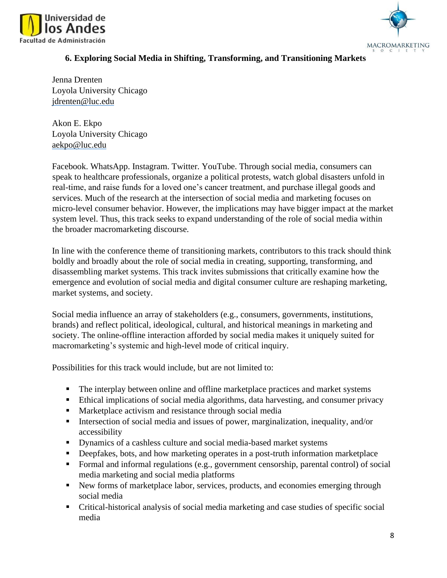



# **6. Exploring Social Media in Shifting, Transforming, and Transitioning Markets**

Jenna Drenten Loyola University Chicago jdrenten@luc.edu

Akon E. Ekpo Loyola University Chicago aekpo@luc.edu

Facebook. WhatsApp. Instagram. Twitter. YouTube. Through social media, consumers can speak to healthcare professionals, organize a political protests, watch global disasters unfold in real-time, and raise funds for a loved one's cancer treatment, and purchase illegal goods and services. Much of the research at the intersection of social media and marketing focuses on micro-level consumer behavior. However, the implications may have bigger impact at the market system level. Thus, this track seeks to expand understanding of the role of social media within the broader macromarketing discourse.

In line with the conference theme of transitioning markets, contributors to this track should think boldly and broadly about the role of social media in creating, supporting, transforming, and disassembling market systems. This track invites submissions that critically examine how the emergence and evolution of social media and digital consumer culture are reshaping marketing, market systems, and society.

Social media influence an array of stakeholders (e.g., consumers, governments, institutions, brands) and reflect political, ideological, cultural, and historical meanings in marketing and society. The online-offline interaction afforded by social media makes it uniquely suited for macromarketing's systemic and high-level mode of critical inquiry.

Possibilities for this track would include, but are not limited to:

- The interplay between online and offline marketplace practices and market systems
- Ethical implications of social media algorithms, data harvesting, and consumer privacy
- Marketplace activism and resistance through social media
- **EXECT** Intersection of social media and issues of power, marginalization, inequality, and/or accessibility
- Dynamics of a cashless culture and social media-based market systems
- **•** Deepfakes, bots, and how marketing operates in a post-truth information marketplace
- Formal and informal regulations (e.g., government censorship, parental control) of social media marketing and social media platforms
- New forms of marketplace labor, services, products, and economies emerging through social media
- Critical-historical analysis of social media marketing and case studies of specific social media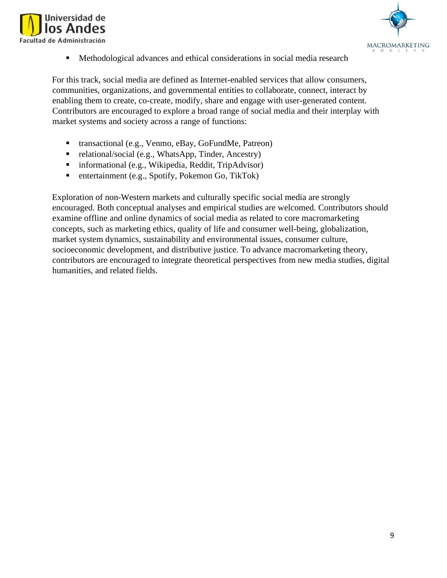



■ Methodological advances and ethical considerations in social media research

For this track, social media are defined as Internet-enabled services that allow consumers, communities, organizations, and governmental entities to collaborate, connect, interact by enabling them to create, co-create, modify, share and engage with user-generated content. Contributors are encouraged to explore a broad range of social media and their interplay with market systems and society across a range of functions:

- transactional (e.g., Venmo, eBay, GoFundMe, Patreon)
- relational/social (e.g., WhatsApp, Tinder, Ancestry)
- informational (e.g., Wikipedia, Reddit, TripAdvisor)
- entertainment (e.g., Spotify, Pokemon Go, TikTok)

Exploration of non-Western markets and culturally specific social media are strongly encouraged. Both conceptual analyses and empirical studies are welcomed. Contributors should examine offline and online dynamics of social media as related to core macromarketing concepts, such as marketing ethics, quality of life and consumer well-being, globalization, market system dynamics, sustainability and environmental issues, consumer culture, socioeconomic development, and distributive justice. To advance macromarketing theory, contributors are encouraged to integrate theoretical perspectives from new media studies, digital humanities, and related fields.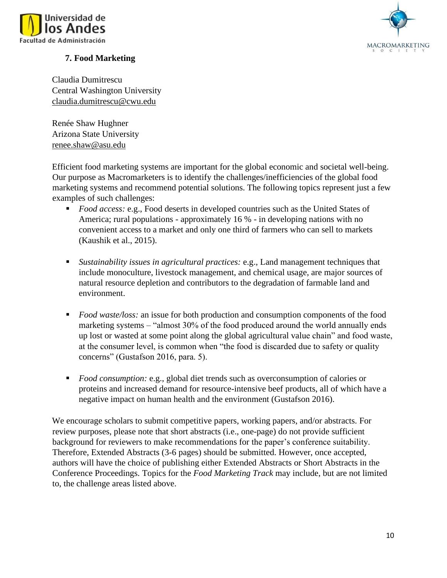



# **7. Food Marketing**

Claudia Dumitrescu Central Washington University claudia.dumitrescu@cwu.edu

Renée Shaw Hughner Arizona State University renee.shaw@asu.edu

Efficient food marketing systems are important for the global economic and societal well-being. Our purpose as Macromarketers is to identify the challenges/inefficiencies of the global food marketing systems and recommend potential solutions. The following topics represent just a few examples of such challenges:

- *Food access:* e.g., Food deserts in developed countries such as the United States of America; rural populations - approximately 16 % - in developing nations with no convenient access to a market and only one third of farmers who can sell to markets (Kaushik et al., 2015).
- *Sustainability issues in agricultural practices:* e.g., Land management techniques that include monoculture, livestock management, and chemical usage, are major sources of natural resource depletion and contributors to the degradation of farmable land and environment.
- *Food waste/loss:* an issue for both production and consumption components of the food marketing systems – "almost 30% of the food produced around the world annually ends up lost or wasted at some point along the global agricultural value chain" and food waste, at the consumer level, is common when "the food is discarded due to safety or quality concerns" (Gustafson 2016, para. 5).
- *Food consumption:* e.g., global diet trends such as overconsumption of calories or proteins and increased demand for resource-intensive beef products, all of which have a negative impact on human health and the environment (Gustafson 2016).

We encourage scholars to submit competitive papers, working papers, and/or abstracts. For review purposes, please note that short abstracts (i.e., one-page) do not provide sufficient background for reviewers to make recommendations for the paper's conference suitability. Therefore, Extended Abstracts (3-6 pages) should be submitted. However, once accepted, authors will have the choice of publishing either Extended Abstracts or Short Abstracts in the Conference Proceedings. Topics for the *Food Marketing Track* may include, but are not limited to, the challenge areas listed above.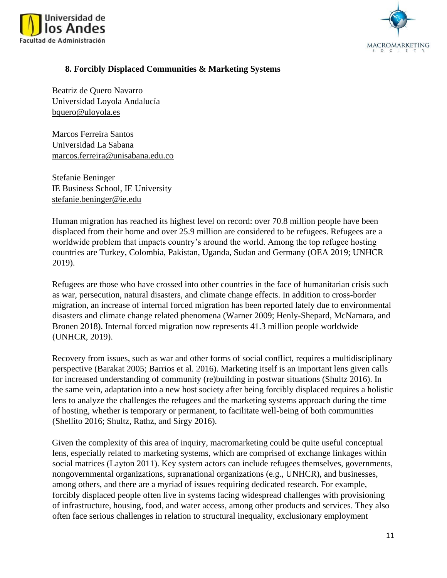



### **8. Forcibly Displaced Communities & Marketing Systems**

Beatriz de Quero Navarro Universidad Loyola Andalucía [bquero@uloyola.es](mailto:bquero@uloyola.es)

Marcos Ferreira Santos Universidad La Sabana marcos.ferreira@unisabana.edu.co

Stefanie Beninger IE Business School, IE University stefanie.beninger@ie.edu

Human migration has reached its highest level on record: over 70.8 million people have been displaced from their home and over 25.9 million are considered to be refugees. Refugees are a worldwide problem that impacts country's around the world. Among the top refugee hosting countries are Turkey, Colombia, Pakistan, Uganda, Sudan and Germany (OEA 2019; UNHCR 2019).

Refugees are those who have crossed into other countries in the face of humanitarian crisis such as war, persecution, natural disasters, and climate change effects. In addition to cross-border migration, an increase of internal forced migration has been reported lately due to environmental disasters and climate change related phenomena (Warner 2009; Henly-Shepard, McNamara, and Bronen 2018). Internal forced migration now represents 41.3 million people worldwide (UNHCR, 2019).

Recovery from issues, such as war and other forms of social conflict, requires a multidisciplinary perspective (Barakat 2005; Barrios et al. 2016). Marketing itself is an important lens given calls for increased understanding of community (re)building in postwar situations (Shultz 2016). In the same vein, adaptation into a new host society after being forcibly displaced requires a holistic lens to analyze the challenges the refugees and the marketing systems approach during the time of hosting, whether is temporary or permanent, to facilitate well-being of both communities (Shellito 2016; Shultz, Rathz, and Sirgy 2016).

Given the complexity of this area of inquiry, macromarketing could be quite useful conceptual lens, especially related to marketing systems, which are comprised of exchange linkages within social matrices (Layton 2011). Key system actors can include refugees themselves, governments, nongovernmental organizations, supranational organizations (e.g., UNHCR), and businesses, among others, and there are a myriad of issues requiring dedicated research. For example, forcibly displaced people often live in systems facing widespread challenges with provisioning of infrastructure, housing, food, and water access, among other products and services. They also often face serious challenges in relation to structural inequality, exclusionary employment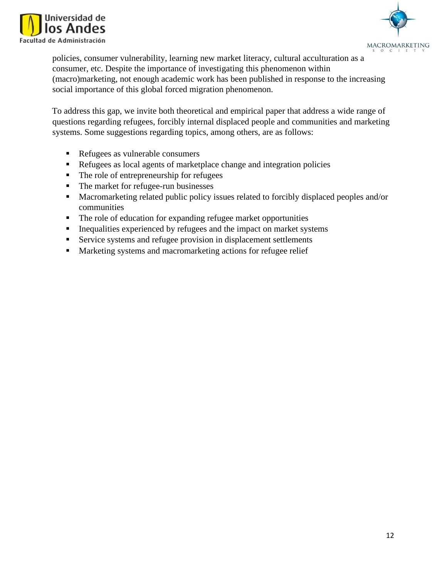



policies, consumer vulnerability, learning new market literacy, cultural acculturation as a consumer, etc. Despite the importance of investigating this phenomenon within (macro)marketing, not enough academic work has been published in response to the increasing social importance of this global forced migration phenomenon.

To address this gap, we invite both theoretical and empirical paper that address a wide range of questions regarding refugees, forcibly internal displaced people and communities and marketing systems. Some suggestions regarding topics, among others, are as follows:

- Refugees as vulnerable consumers
- Refugees as local agents of marketplace change and integration policies
- The role of entrepreneurship for refugees
- The market for refugee-run businesses
- Macromarketing related public policy issues related to forcibly displaced peoples and/or communities
- The role of education for expanding refugee market opportunities
- **•** Inequalities experienced by refugees and the impact on market systems
- Service systems and refugee provision in displacement settlements
- Marketing systems and macromarketing actions for refugee relief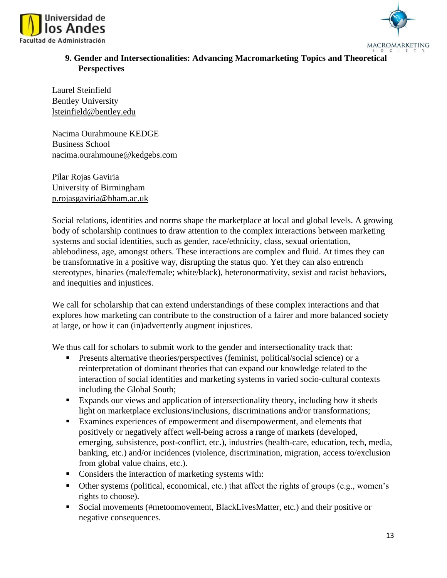



# **9. Gender and Intersectionalities: Advancing Macromarketing Topics and Theoretical Perspectives**

Laurel Steinfield Bentley University lsteinfield@bentley.edu

Nacima Ourahmoune KEDGE Business School nacima.ourahmoune@kedgebs.com

Pilar Rojas Gaviria University of Birmingham p.rojasgaviria@bham.ac.uk

Social relations, identities and norms shape the marketplace at local and global levels. A growing body of scholarship continues to draw attention to the complex interactions between marketing systems and social identities, such as gender, race/ethnicity, class, sexual orientation, ablebodiness, age, amongst others. These interactions are complex and fluid. At times they can be transformative in a positive way, disrupting the status quo. Yet they can also entrench stereotypes, binaries (male/female; white/black), heteronormativity, sexist and racist behaviors, and inequities and injustices.

We call for scholarship that can extend understandings of these complex interactions and that explores how marketing can contribute to the construction of a fairer and more balanced society at large, or how it can (in)advertently augment injustices.

We thus call for scholars to submit work to the gender and intersectionality track that:

- **•** Presents alternative theories/perspectives (feminist, political/social science) or a reinterpretation of dominant theories that can expand our knowledge related to the interaction of social identities and marketing systems in varied socio-cultural contexts including the Global South;
- Expands our views and application of intersectionality theory, including how it sheds light on marketplace exclusions/inclusions, discriminations and/or transformations;
- Examines experiences of empowerment and disempowerment, and elements that positively or negatively affect well-being across a range of markets (developed, emerging, subsistence, post-conflict, etc.), industries (health-care, education, tech, media, banking, etc.) and/or incidences (violence, discrimination, migration, access to/exclusion from global value chains, etc.).
- Considers the interaction of marketing systems with:
- Other systems (political, economical, etc.) that affect the rights of groups (e.g., women's rights to choose).
- Social movements (#metoomovement, BlackLivesMatter, etc.) and their positive or negative consequences.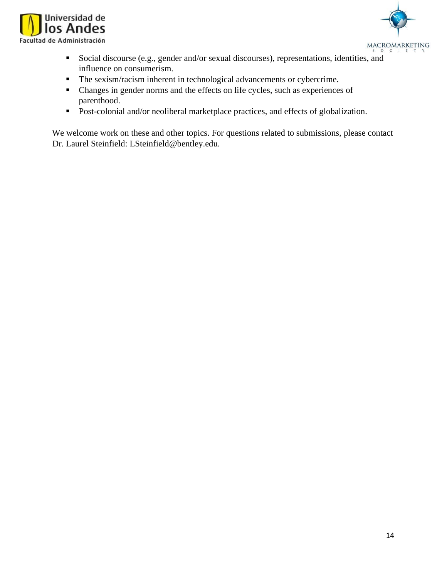



- Social discourse (e.g., gender and/or sexual discourses), representations, identities, and influence on consumerism.
- The sexism/racism inherent in technological advancements or cybercrime.
- Changes in gender norms and the effects on life cycles, such as experiences of parenthood.
- Post-colonial and/or neoliberal marketplace practices, and effects of globalization.

We welcome work on these and other topics. For questions related to submissions, please contact Dr. Laurel Steinfield: LSteinfield@bentley.edu.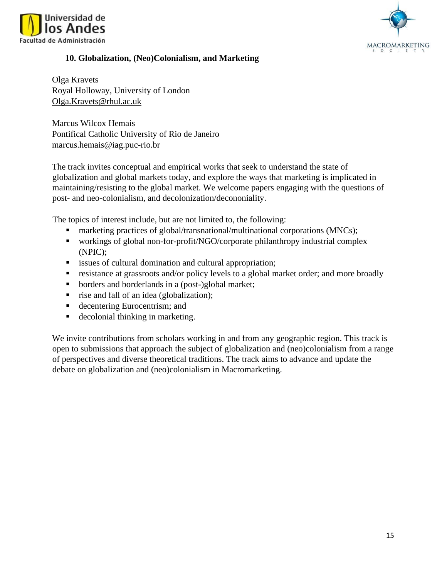



### **10. Globalization, (Neo)Colonialism, and Marketing**

Olga Kravets Royal Holloway, University of London Olga.Kravets@rhul.ac.uk

Marcus Wilcox Hemais Pontifical Catholic University of Rio de Janeiro marcus.hemais@iag.puc-rio.br

The track invites conceptual and empirical works that seek to understand the state of globalization and global markets today, and explore the ways that marketing is implicated in maintaining/resisting to the global market. We welcome papers engaging with the questions of post- and neo-colonialism, and decolonization/decononiality.

The topics of interest include, but are not limited to, the following:

- marketing practices of global/transnational/multinational corporations (MNCs);
- workings of global non-for-profit/NGO/corporate philanthropy industrial complex (NPIC);
- **Exercise issues of cultural domination and cultural appropriation;**
- **Exercistance at grassroots and/or policy levels to a global market order; and more broadly**
- borders and borderlands in a (post-)global market;
- rise and fall of an idea (globalization);
- decentering Eurocentrism; and
- decolonial thinking in marketing.

We invite contributions from scholars working in and from any geographic region. This track is open to submissions that approach the subject of globalization and (neo)colonialism from a range of perspectives and diverse theoretical traditions. The track aims to advance and update the debate on globalization and (neo)colonialism in Macromarketing.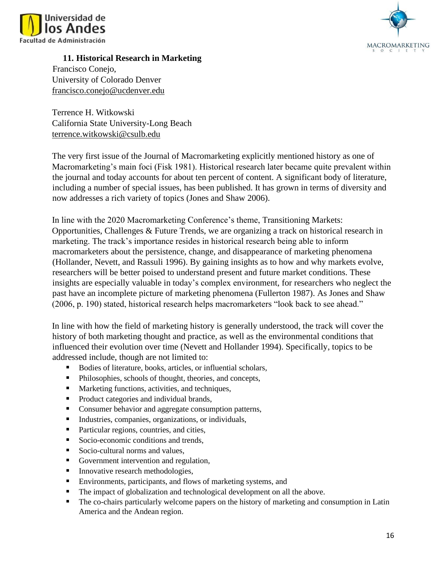



**11. Historical Research in Marketing** 

Francisco Conejo, University of Colorado Denver francisco.conejo@ucdenver.edu

Terrence H. Witkowski California State University-Long Beach terrence.witkowski@csulb.edu

The very first issue of the Journal of Macromarketing explicitly mentioned history as one of Macromarketing's main foci (Fisk 1981). Historical research later became quite prevalent within the journal and today accounts for about ten percent of content. A significant body of literature, including a number of special issues, has been published. It has grown in terms of diversity and now addresses a rich variety of topics (Jones and Shaw 2006).

In line with the 2020 Macromarketing Conference's theme, Transitioning Markets: Opportunities, Challenges & Future Trends, we are organizing a track on historical research in marketing. The track's importance resides in historical research being able to inform macromarketers about the persistence, change, and disappearance of marketing phenomena (Hollander, Nevett, and Rassuli 1996). By gaining insights as to how and why markets evolve, researchers will be better poised to understand present and future market conditions. These insights are especially valuable in today's complex environment, for researchers who neglect the past have an incomplete picture of marketing phenomena (Fullerton 1987). As Jones and Shaw (2006, p. 190) stated, historical research helps macromarketers "look back to see ahead."

In line with how the field of marketing history is generally understood, the track will cover the history of both marketing thought and practice, as well as the environmental conditions that influenced their evolution over time (Nevett and Hollander 1994). Specifically, topics to be addressed include, though are not limited to:

- Bodies of literature, books, articles, or influential scholars,
- Philosophies, schools of thought, theories, and concepts,
- Marketing functions, activities, and techniques,
- Product categories and individual brands,
- Consumer behavior and aggregate consumption patterns,
- Industries, companies, organizations, or individuals,
- Particular regions, countries, and cities,
- Socio-economic conditions and trends,
- Socio-cultural norms and values,
- Government intervention and regulation,
- **Innovative research methodologies,**
- Environments, participants, and flows of marketing systems, and
- The impact of globalization and technological development on all the above.
- The co-chairs particularly welcome papers on the history of marketing and consumption in Latin America and the Andean region.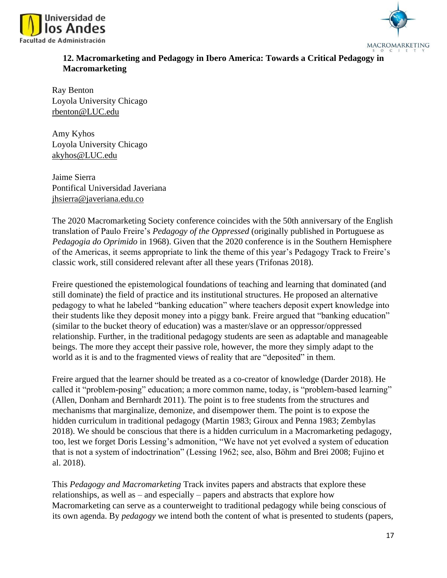



# **12. Macromarketing and Pedagogy in Ibero America: Towards a Critical Pedagogy in Macromarketing**

Ray Benton Loyola University Chicago rbenton@LUC.edu

Amy Kyhos Loyola University Chicago akyhos@LUC.edu

Jaime Sierra Pontifical Universidad Javeriana jhsierra@javeriana.edu.co

The 2020 Macromarketing Society conference coincides with the 50th anniversary of the English translation of Paulo Freire's *Pedagogy of the Oppressed* (originally published in Portuguese as *Pedagogia do Oprimido* in 1968). Given that the 2020 conference is in the Southern Hemisphere of the Americas, it seems appropriate to link the theme of this year's Pedagogy Track to Freire's classic work, still considered relevant after all these years (Trifonas 2018).

Freire questioned the epistemological foundations of teaching and learning that dominated (and still dominate) the field of practice and its institutional structures. He proposed an alternative pedagogy to what he labeled "banking education" where teachers deposit expert knowledge into their students like they deposit money into a piggy bank. Freire argued that "banking education" (similar to the bucket theory of education) was a master/slave or an oppressor/oppressed relationship. Further, in the traditional pedagogy students are seen as adaptable and manageable beings. The more they accept their passive role, however, the more they simply adapt to the world as it is and to the fragmented views of reality that are "deposited" in them.

Freire argued that the learner should be treated as a co-creator of knowledge (Darder 2018). He called it "problem-posing" education; a more common name, today, is "problem-based learning" (Allen, Donham and Bernhardt 2011). The point is to free students from the structures and mechanisms that marginalize, demonize, and disempower them. The point is to expose the hidden curriculum in traditional pedagogy (Martin 1983; Giroux and Penna 1983; Zembylas 2018). We should be conscious that there is a hidden curriculum in a Macromarketing pedagogy, too, lest we forget Doris Lessing's admonition, "We have not yet evolved a system of education that is not a system of indoctrination" (Lessing 1962; see, also, Böhm and Brei 2008; Fujino et al. 2018).

This *Pedagogy and Macromarketing* Track invites papers and abstracts that explore these relationships, as well as – and especially – papers and abstracts that explore how Macromarketing can serve as a counterweight to traditional pedagogy while being conscious of its own agenda. By *pedagogy* we intend both the content of what is presented to students (papers,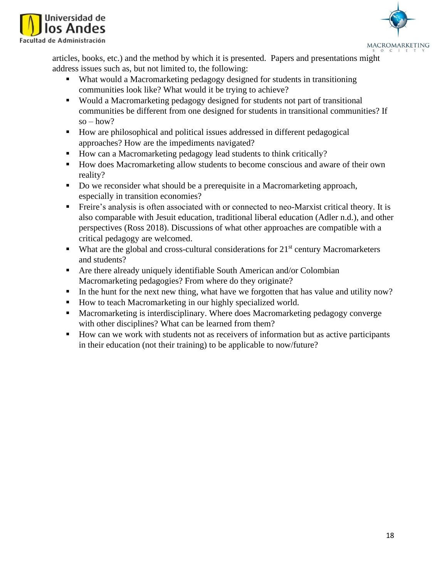



articles, books, etc.) and the method by which it is presented. Papers and presentations might address issues such as, but not limited to, the following:

- What would a Macromarketing pedagogy designed for students in transitioning communities look like? What would it be trying to achieve?
- Would a Macromarketing pedagogy designed for students not part of transitional communities be different from one designed for students in transitional communities? If  $so - how?$
- How are philosophical and political issues addressed in different pedagogical approaches? How are the impediments navigated?
- How can a Macromarketing pedagogy lead students to think critically?
- How does Macromarketing allow students to become conscious and aware of their own reality?
- Do we reconsider what should be a prerequisite in a Macromarketing approach, especially in transition economies?
- Freire's analysis is often associated with or connected to neo-Marxist critical theory. It is also comparable with Jesuit education, traditional liberal education (Adler n.d.), and other perspectives (Ross 2018). Discussions of what other approaches are compatible with a critical pedagogy are welcomed.
- $\blacksquare$  What are the global and cross-cultural considerations for 21<sup>st</sup> century Macromarketers and students?
- Are there already uniquely identifiable South American and/or Colombian Macromarketing pedagogies? From where do they originate?
- In the hunt for the next new thing, what have we forgotten that has value and utility now?
- How to teach Macromarketing in our highly specialized world.
- Macromarketing is interdisciplinary. Where does Macromarketing pedagogy converge with other disciplines? What can be learned from them?
- How can we work with students not as receivers of information but as active participants in their education (not their training) to be applicable to now/future?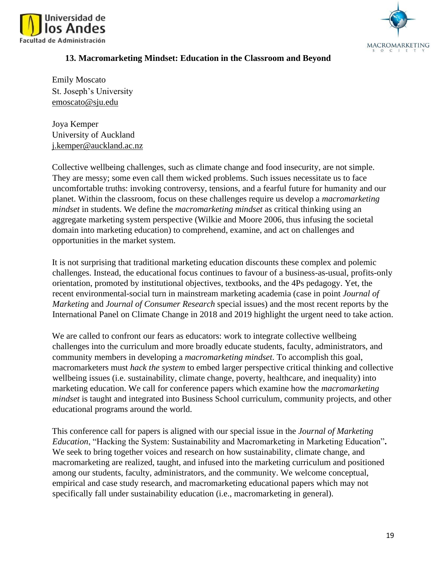



### **13. Macromarketing Mindset: Education in the Classroom and Beyond**

Emily Moscato St. Joseph's University emoscato@sju.edu

Joya Kemper University of Auckland j.kemper@auckland.ac.nz

Collective wellbeing challenges, such as climate change and food insecurity, are not simple. They are messy; some even call them wicked problems. Such issues necessitate us to face uncomfortable truths: invoking controversy, tensions, and a fearful future for humanity and our planet. Within the classroom, focus on these challenges require us develop a *macromarketing mindset* in students. We define the *macromarketing mindset* as critical thinking using an aggregate marketing system perspective (Wilkie and Moore 2006, thus infusing the societal domain into marketing education) to comprehend, examine, and act on challenges and opportunities in the market system.

It is not surprising that traditional marketing education discounts these complex and polemic challenges. Instead, the educational focus continues to favour of a business-as-usual, profits-only orientation, promoted by institutional objectives, textbooks, and the 4Ps pedagogy. Yet, the recent environmental-social turn in mainstream marketing academia (case in point *Journal of Marketing* and *Journal of Consumer Research* special issues) and the most recent reports by the International Panel on Climate Change in 2018 and 2019 highlight the urgent need to take action.

We are called to confront our fears as educators: work to integrate collective wellbeing challenges into the curriculum and more broadly educate students, faculty, administrators, and community members in developing a *macromarketing mindset*. To accomplish this goal, macromarketers must *hack the system* to embed larger perspective critical thinking and collective wellbeing issues (i.e. sustainability, climate change, poverty, healthcare, and inequality) into marketing education. We call for conference papers which examine how the *macromarketing mindset* is taught and integrated into Business School curriculum, community projects, and other educational programs around the world.

This conference call for papers is aligned with our special issue in the *Journal of Marketing Education*, "Hacking the System: Sustainability and Macromarketing in Marketing Education"**.** We seek to bring together voices and research on how sustainability, climate change, and macromarketing are realized, taught, and infused into the marketing curriculum and positioned among our students, faculty, administrators, and the community. We welcome conceptual, empirical and case study research, and macromarketing educational papers which may not specifically fall under sustainability education (i.e., macromarketing in general).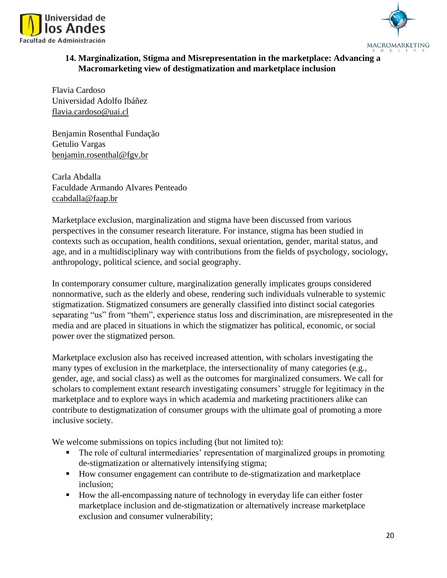



# **14. Marginalization, Stigma and Misrepresentation in the marketplace: Advancing a Macromarketing view of destigmatization and marketplace inclusion**

Flavia Cardoso Universidad Adolfo Ibáñez flavia.cardoso@uai.cl

Benjamin Rosenthal Fundação Getulio Vargas benjamin.rosenthal@fgv.br

Carla Abdalla Faculdade Armando Alvares Penteado ccabdalla@faap.br

Marketplace exclusion, marginalization and stigma have been discussed from various perspectives in the consumer research literature. For instance, stigma has been studied in contexts such as occupation, health conditions, sexual orientation, gender, marital status, and age, and in a multidisciplinary way with contributions from the fields of psychology, sociology, anthropology, political science, and social geography.

In contemporary consumer culture, marginalization generally implicates groups considered nonnormative, such as the elderly and obese, rendering such individuals vulnerable to systemic stigmatization. Stigmatized consumers are generally classified into distinct social categories separating "us" from "them", experience status loss and discrimination, are misrepresented in the media and are placed in situations in which the stigmatizer has political, economic, or social power over the stigmatized person.

Marketplace exclusion also has received increased attention, with scholars investigating the many types of exclusion in the marketplace, the intersectionality of many categories (e.g., gender, age, and social class) as well as the outcomes for marginalized consumers. We call for scholars to complement extant research investigating consumers' struggle for legitimacy in the marketplace and to explore ways in which academia and marketing practitioners alike can contribute to destigmatization of consumer groups with the ultimate goal of promoting a more inclusive society.

We welcome submissions on topics including (but not limited to):

- The role of cultural intermediaries' representation of marginalized groups in promoting de-stigmatization or alternatively intensifying stigma;
- How consumer engagement can contribute to de-stigmatization and marketplace inclusion;
- How the all-encompassing nature of technology in everyday life can either foster marketplace inclusion and de-stigmatization or alternatively increase marketplace exclusion and consumer vulnerability;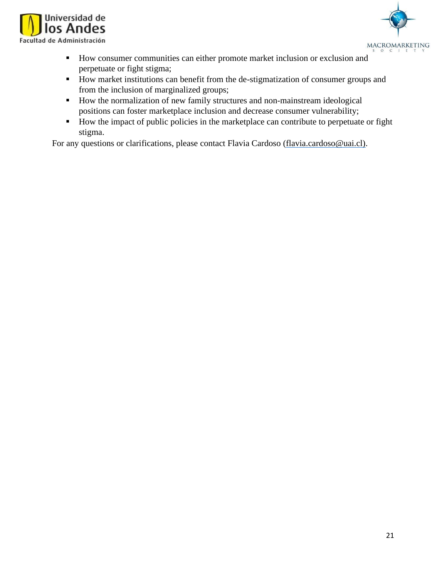



- How consumer communities can either promote market inclusion or exclusion and perpetuate or fight stigma;
- How market institutions can benefit from the de-stigmatization of consumer groups and from the inclusion of marginalized groups;
- How the normalization of new family structures and non-mainstream ideological positions can foster marketplace inclusion and decrease consumer vulnerability;
- How the impact of public policies in the marketplace can contribute to perpetuate or fight stigma.

For any questions or clarifications, please contact Flavia Cardoso (flavia.cardoso@uai.cl).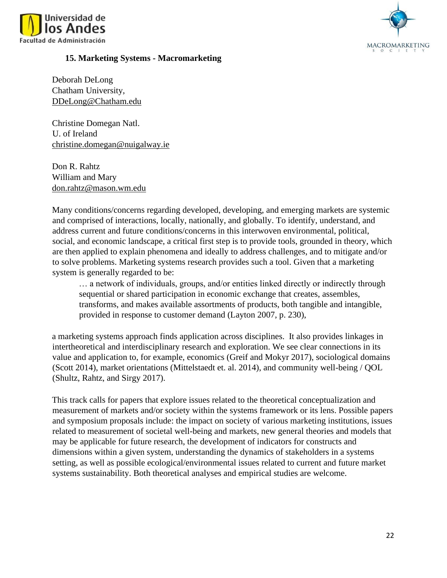



#### **15. Marketing Systems - Macromarketing**

Deborah DeLong Chatham University, DDeLong@Chatham.edu

Christine Domegan Natl. U. of Ireland christine.domegan@nuigalway.ie

Don R. Rahtz William and Mary don.rahtz@mason.wm.edu

Many conditions/concerns regarding developed, developing, and emerging markets are systemic and comprised of interactions, locally, nationally, and globally. To identify, understand, and address current and future conditions/concerns in this interwoven environmental, political, social, and economic landscape, a critical first step is to provide tools, grounded in theory, which are then applied to explain phenomena and ideally to address challenges, and to mitigate and/or to solve problems. Marketing systems research provides such a tool. Given that a marketing system is generally regarded to be:

… a network of individuals, groups, and/or entities linked directly or indirectly through sequential or shared participation in economic exchange that creates, assembles, transforms, and makes available assortments of products, both tangible and intangible, provided in response to customer demand (Layton 2007, p. 230),

a marketing systems approach finds application across disciplines. It also provides linkages in intertheoretical and interdisciplinary research and exploration. We see clear connections in its value and application to, for example, economics (Greif and Mokyr 2017), sociological domains (Scott 2014), market orientations (Mittelstaedt et. al. 2014), and community well-being / QOL (Shultz, Rahtz, and Sirgy 2017).

This track calls for papers that explore issues related to the theoretical conceptualization and measurement of markets and/or society within the systems framework or its lens. Possible papers and symposium proposals include: the impact on society of various marketing institutions, issues related to measurement of societal well-being and markets, new general theories and models that may be applicable for future research, the development of indicators for constructs and dimensions within a given system, understanding the dynamics of stakeholders in a systems setting, as well as possible ecological/environmental issues related to current and future market systems sustainability. Both theoretical analyses and empirical studies are welcome.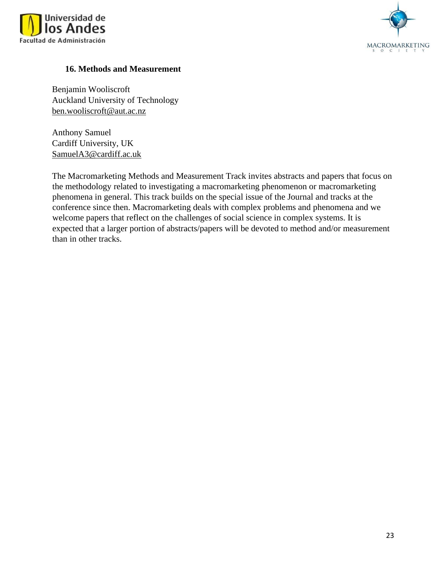



### **16. Methods and Measurement**

Benjamin Wooliscroft Auckland University of Technology ben.wooliscroft@aut.ac.nz

Anthony Samuel Cardiff University, UK SamuelA3@cardiff.ac.uk

The Macromarketing Methods and Measurement Track invites abstracts and papers that focus on the methodology related to investigating a macromarketing phenomenon or macromarketing phenomena in general. This track builds on the special issue of the Journal and tracks at the conference since then. Macromarketing deals with complex problems and phenomena and we welcome papers that reflect on the challenges of social science in complex systems. It is expected that a larger portion of abstracts/papers will be devoted to method and/or measurement than in other tracks.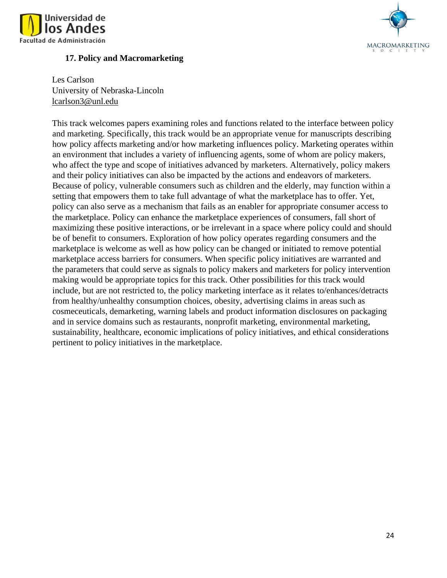



### **17. Policy and Macromarketing**

Les Carlson University of Nebraska-Lincoln lcarlson3@unl.edu

This track welcomes papers examining roles and functions related to the interface between policy and marketing. Specifically, this track would be an appropriate venue for manuscripts describing how policy affects marketing and/or how marketing influences policy. Marketing operates within an environment that includes a variety of influencing agents, some of whom are policy makers, who affect the type and scope of initiatives advanced by marketers. Alternatively, policy makers and their policy initiatives can also be impacted by the actions and endeavors of marketers. Because of policy, vulnerable consumers such as children and the elderly, may function within a setting that empowers them to take full advantage of what the marketplace has to offer. Yet, policy can also serve as a mechanism that fails as an enabler for appropriate consumer access to the marketplace. Policy can enhance the marketplace experiences of consumers, fall short of maximizing these positive interactions, or be irrelevant in a space where policy could and should be of benefit to consumers. Exploration of how policy operates regarding consumers and the marketplace is welcome as well as how policy can be changed or initiated to remove potential marketplace access barriers for consumers. When specific policy initiatives are warranted and the parameters that could serve as signals to policy makers and marketers for policy intervention making would be appropriate topics for this track. Other possibilities for this track would include, but are not restricted to, the policy marketing interface as it relates to/enhances/detracts from healthy/unhealthy consumption choices, obesity, advertising claims in areas such as cosmeceuticals, demarketing, warning labels and product information disclosures on packaging and in service domains such as restaurants, nonprofit marketing, environmental marketing, sustainability, healthcare, economic implications of policy initiatives, and ethical considerations pertinent to policy initiatives in the marketplace.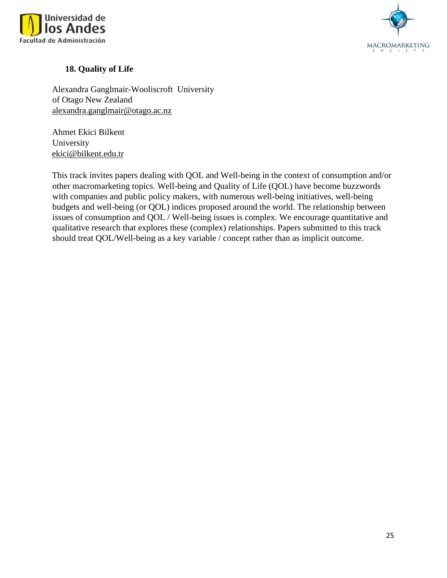



# **18. Quality of Life**

Alexandra Ganglmair-Wooliscroft University of Otago New Zealand alexandra.ganglmair@otago.ac.nz

Ahmet Ekici Bilkent University ekici@bilkent.edu.tr

This track invites papers dealing with QOL and Well-being in the context of consumption and/or other macromarketing topics. Well-being and Quality of Life (QOL) have become buzzwords with companies and public policy makers, with numerous well-being initiatives, well-being budgets and well-being (or QOL) indices proposed around the world. The relationship between issues of consumption and QOL / Well-being issues is complex. We encourage quantitative and qualitative research that explores these (complex) relationships. Papers submitted to this track should treat QOL/Well-being as a key variable / concept rather than as implicit outcome.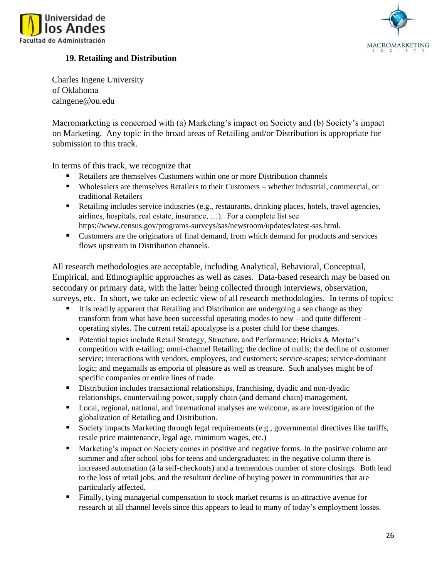



# **19. Retailing and Distribution**

Charles Ingene University of Oklahoma caingene@ou.edu

Macromarketing is concerned with (a) Marketing's impact on Society and (b) Society's impact on Marketing. Any topic in the broad areas of Retailing and/or Distribution is appropriate for submission to this track.

In terms of this track, we recognize that

- Retailers are themselves Customers within one or more Distribution channels
- Wholesalers are themselves Retailers to their Customers whether industrial, commercial, or traditional Retailers
- Retailing includes service industries (e.g., restaurants, drinking places, hotels, travel agencies, airlines, hospitals, real estate, insurance, …). For a complete list see [https://www.census.gov/programs-surveys/sas/newsroom/updates/latest-sas.html.](https://www.census.gov/programs-surveys/sas/newsroom/updates/latest-sas.html)
- Customers are the originators of final demand, from which demand for products and services flows upstream in Distribution channels.

All research methodologies are acceptable, including Analytical, Behavioral, Conceptual, Empirical, and Ethnographic approaches as well as cases. Data-based research may be based on secondary or primary data, with the latter being collected through interviews, observation, surveys, etc. In short, we take an eclectic view of all research methodologies. In terms of topics:

- It is readily apparent that Retailing and Distribution are undergoing a sea change as they transform from what have been successful operating modes to new – and quite different – operating styles. The current retail apocalypse is a poster child for these changes.
- Potential topics include Retail Strategy, Structure, and Performance; Bricks & Mortar's competition with e-tailing; omni-channel Retailing; the decline of malls; the decline of customer service; interactions with vendors, employees, and customers; service-scapes; service-dominant logic; and megamalls as emporia of pleasure as well as treasure. Such analyses might be of specific companies or entire lines of trade.
- **E** Distribution includes transactional relationships, franchising, dyadic and non-dyadic relationships, countervailing power, supply chain (and demand chain) management,
- Local, regional, national, and international analyses are welcome, as are investigation of the globalization of Retailing and Distribution.
- Society impacts Marketing through legal requirements (e.g., governmental directives like tariffs, resale price maintenance, legal age, minimum wages, etc.)
- Marketing's impact on Society comes in positive and negative forms. In the positive column are summer and after school jobs for teens and undergraduates; in the negative column there is increased automation (à la self-checkouts) and a tremendous number of store closings. Both lead to the loss of retail jobs, and the resultant decline of buying power in communities that are particularly affected.
- Finally, tying managerial compensation to stock market returns is an attractive avenue for research at all channel levels since this appears to lead to many of today's employment losses.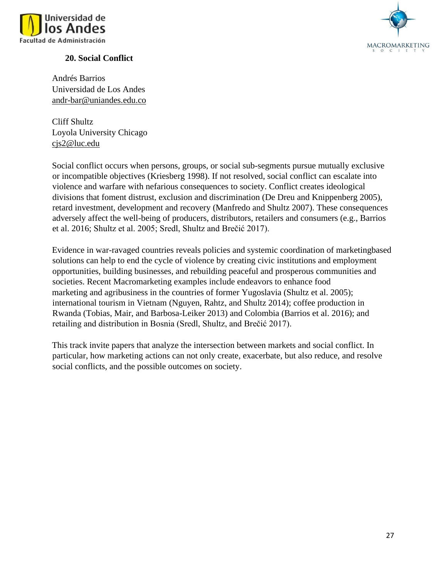

# **20. Social Conflict**

MACROMARKETING

Andrés Barrios Universidad de Los Andes andr-bar@uniandes.edu.co

Cliff Shultz Loyola University Chicago cjs2@luc.edu

Social conflict occurs when persons, groups, or social sub-segments pursue mutually exclusive or incompatible objectives (Kriesberg 1998). If not resolved, social conflict can escalate into violence and warfare with nefarious consequences to society. Conflict creates ideological divisions that foment distrust, exclusion and discrimination (De Dreu and Knippenberg 2005), retard investment, development and recovery (Manfredo and Shultz 2007). These consequences adversely affect the well-being of producers, distributors, retailers and consumers (e.g., Barrios et al. 2016; Shultz et al. 2005; Sredl, Shultz and Brečić 2017).

Evidence in war-ravaged countries reveals policies and systemic coordination of marketingbased solutions can help to end the cycle of violence by creating civic institutions and employment opportunities, building businesses, and rebuilding peaceful and prosperous communities and societies. Recent Macromarketing examples include endeavors to enhance food marketing and agribusiness in the countries of former Yugoslavia (Shultz et al. 2005); international tourism in Vietnam (Nguyen, Rahtz, and Shultz 2014); coffee production in Rwanda (Tobias, Mair, and Barbosa-Leiker 2013) and Colombia (Barrios et al. 2016); and retailing and distribution in Bosnia (Sredl, Shultz, and Brečić 2017).

This track invite papers that analyze the intersection between markets and social conflict. In particular, how marketing actions can not only create, exacerbate, but also reduce, and resolve social conflicts, and the possible outcomes on society.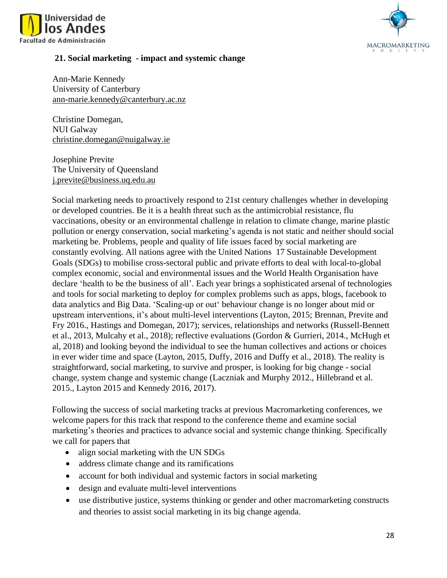



#### **21. Social marketing - impact and systemic change**

Ann-Marie Kennedy University of Canterbury [ann-marie.kennedy@canterbury.ac.nz](mailto:ann-marie.kennedy@canterbury.ac.nz)

Christine Domegan, NUI Galway [christine.domegan@nuigalway.ie](mailto:christine.domegan@nuigalway.ie)

Josephine Previte The University of Queensland [j.previte@business.uq.edu.au](mailto:j.previte@business.uq.edu.au)

Social marketing needs to proactively respond to 21st century challenges whether in developing or developed countries. Be it is a health threat such as the antimicrobial resistance, flu vaccinations, obesity or an environmental challenge in relation to climate change, marine plastic pollution or energy conservation, social marketing's agenda is not static and neither should social marketing be. Problems, people and quality of life issues faced by social marketing are constantly evolving. All nations agree with the United Nations 17 Sustainable Development Goals (SDGs) to mobilise cross-sectoral public and private efforts to deal with local-to-global complex economic, social and environmental issues and the World Health Organisation have declare 'health to be the business of all'. Each year brings a sophisticated arsenal of technologies and tools for social marketing to deploy for complex problems such as apps, blogs, facebook to data analytics and Big Data. 'Scaling-up or out' behaviour change is no longer about mid or upstream interventions, it's about multi-level interventions (Layton, 2015; Brennan, Previte and Fry 2016., Hastings and Domegan, 2017); services, relationships and networks (Russell-Bennett et al., 2013, Mulcahy et al., 2018); reflective evaluations (Gordon & Gurrieri, 2014., McHugh et al, 2018) and looking beyond the individual to see the human collectives and actions or choices in ever wider time and space (Layton, 2015, Duffy, 2016 and Duffy et al., 2018). The reality is straightforward, social marketing, to survive and prosper, is looking for big change - social change, system change and systemic change (Laczniak and Murphy 2012., Hillebrand et al. 2015., Layton 2015 and Kennedy 2016, 2017).

Following the success of social marketing tracks at previous Macromarketing conferences, we welcome papers for this track that respond to the conference theme and examine social marketing's theories and practices to advance social and systemic change thinking. Specifically we call for papers that

- align social marketing with the UN SDGs
- address climate change and its ramifications
- account for both individual and systemic factors in social marketing
- design and evaluate multi-level interventions
- use distributive justice, systems thinking or gender and other macromarketing constructs and theories to assist social marketing in its big change agenda.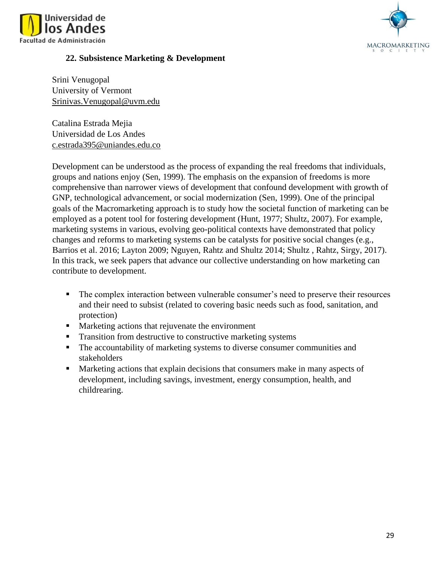



### **22. Subsistence Marketing & Development**

Srini Venugopal University of Vermont [Srinivas.Venugopal@uvm.edu](mailto:Srinivas.Venugopal@uvm.edu)

Catalina Estrada Mejia Universidad de Los Andes [c.estrada395@uniandes.edu.co](mailto:c.estrada395@uniandes.edu.co)

Development can be understood as the process of expanding the real freedoms that individuals, groups and nations enjoy (Sen, 1999). The emphasis on the expansion of freedoms is more comprehensive than narrower views of development that confound development with growth of GNP, technological advancement, or social modernization (Sen, 1999). One of the principal goals of the Macromarketing approach is to study how the societal function of marketing can be employed as a potent tool for fostering development (Hunt, 1977; Shultz, 2007). For example, marketing systems in various, evolving geo-political contexts have demonstrated that policy changes and reforms to marketing systems can be catalysts for positive social changes (e.g., Barrios et al. 2016; Layton 2009; Nguyen, Rahtz and Shultz 2014; Shultz , Rahtz, Sirgy, 2017). In this track, we seek papers that advance our collective understanding on how marketing can contribute to development.

- The complex interaction between vulnerable consumer's need to preserve their resources and their need to subsist (related to covering basic needs such as food, sanitation, and protection)
- **EXECUTE:** Marketing actions that rejuvenate the environment
- **Transition from destructive to constructive marketing systems**
- The accountability of marketing systems to diverse consumer communities and stakeholders
- Marketing actions that explain decisions that consumers make in many aspects of development, including savings, investment, energy consumption, health, and childrearing.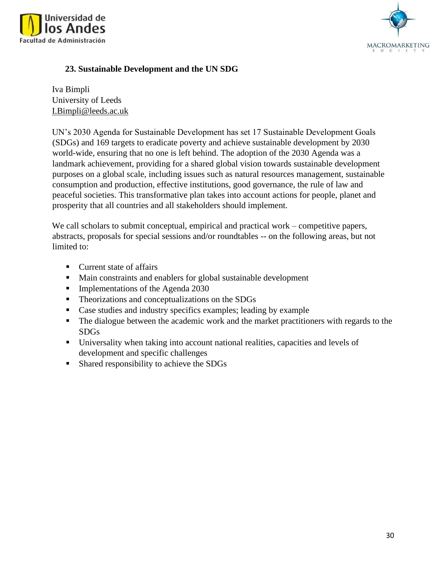



# **23. Sustainable Development and the UN SDG**

Iva Bimpli University of Leeds I.Bimpli@leeds.ac.uk

UN's 2030 Agenda for Sustainable Development has set 17 Sustainable Development Goals (SDGs) and 169 targets to eradicate poverty and achieve sustainable development by 2030 world-wide, ensuring that no one is left behind. The adoption of the 2030 Agenda was a landmark achievement, providing for a shared global vision towards sustainable development purposes on a global scale, including issues such as natural resources management, sustainable consumption and production, effective institutions, good governance, the rule of law and peaceful societies. This transformative plan takes into account actions for people, planet and prosperity that all countries and all stakeholders should implement.

We call scholars to submit conceptual, empirical and practical work – competitive papers, abstracts, proposals for special sessions and/or roundtables -- on the following areas, but not limited to:

- Current state of affairs
- Main constraints and enablers for global sustainable development
- **•** Implementations of the Agenda 2030
- **•** Theorizations and conceptualizations on the SDGs
- Case studies and industry specifics examples; leading by example
- The dialogue between the academic work and the market practitioners with regards to the SDGs
- Universality when taking into account national realities, capacities and levels of development and specific challenges
- Shared responsibility to achieve the SDGs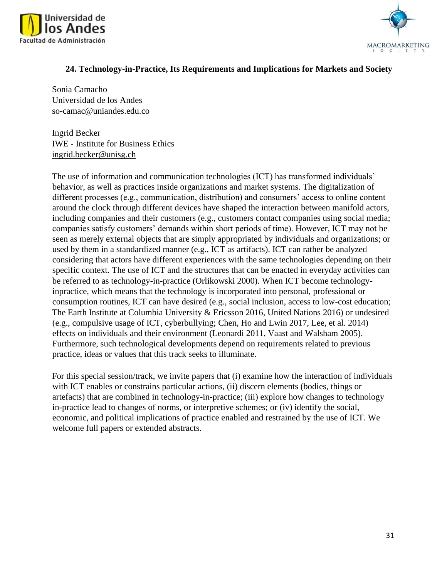



### **24. Technology-in-Practice, Its Requirements and Implications for Markets and Society**

Sonia Camacho [Universidad de los Andes](https://administracion.uniandes.edu.co/images/profesores/SONIA_CAMACHO_CV.pdf) so-camac@uniandes.edu.co

Ingrid Becker IWE - Institute for Business Ethics ingrid.becker@unisg.ch

The use of information and communication technologies (ICT) has transformed individuals' behavior, as well as practices inside organizations and market systems. The digitalization of different processes (e.g., communication, distribution) and consumers' access to online content around the clock through different devices have shaped the interaction between manifold actors, including companies and their customers (e.g., customers contact companies using social media; companies satisfy customers' demands within short periods of time). However, ICT may not be seen as merely external objects that are simply appropriated by individuals and organizations; or used by them in a standardized manner (e.g., ICT as artifacts). ICT can rather be analyzed considering that actors have different experiences with the same technologies depending on their specific context. The use of ICT and the structures that can be enacted in everyday activities can be referred to as technology-in-practice (Orlikowski 2000). When ICT become technologyinpractice, which means that the technology is incorporated into personal, professional or consumption routines, ICT can have desired (e.g., social inclusion, access to low-cost education; The Earth Institute at Columbia University & Ericsson 2016, United Nations 2016) or undesired (e.g., compulsive usage of ICT, cyberbullying; Chen, Ho and Lwin 2017, Lee, et al. 2014) effects on individuals and their environment (Leonardi 2011, Vaast and Walsham 2005). Furthermore, such technological developments depend on requirements related to previous practice, ideas or values that this track seeks to illuminate.

For this special session/track, we invite papers that (i) examine how the interaction of individuals with ICT enables or constrains particular actions, (ii) discern elements (bodies, things or artefacts) that are combined in technology-in-practice; (iii) explore how changes to technology in-practice lead to changes of norms, or interpretive schemes; or (iv) identify the social, economic, and political implications of practice enabled and restrained by the use of ICT. We welcome full papers or extended abstracts.